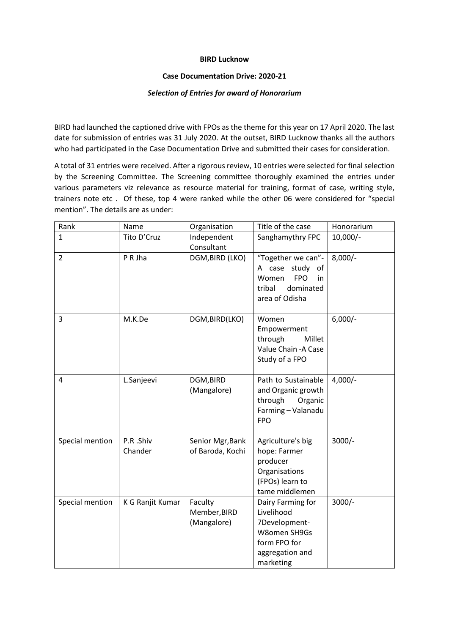## **BIRD Lucknow**

## **Case Documentation Drive: 2020-21**

## *Selection of Entries for award of Honorarium*

BIRD had launched the captioned drive with FPOs as the theme for this year on 17 April 2020. The last date for submission of entries was 31 July 2020. At the outset, BIRD Lucknow thanks all the authors who had participated in the Case Documentation Drive and submitted their cases for consideration.

A total of 31 entries were received. After a rigorous review, 10 entries were selected for final selection by the Screening Committee. The Screening committee thoroughly examined the entries under various parameters viz relevance as resource material for training, format of case, writing style, trainers note etc . Of these, top 4 were ranked while the other 06 were considered for "special mention". The details are as under:

| Rank            | Name                | Organisation                           | Title of the case                                                                                                | Honorarium |
|-----------------|---------------------|----------------------------------------|------------------------------------------------------------------------------------------------------------------|------------|
| $\mathbf{1}$    | Tito D'Cruz         | Independent<br>Consultant              | Sanghamythry FPC                                                                                                 | $10,000/-$ |
| $\overline{2}$  | P R Jha             | DGM, BIRD (LKO)                        | "Together we can"-<br>A case study of<br>Women<br><b>FPO</b><br>in<br>dominated<br>tribal<br>area of Odisha      | $8,000/-$  |
| 3               | M.K.De              | DGM, BIRD(LKO)                         | Women<br>Empowerment<br>through<br>Millet<br>Value Chain - A Case<br>Study of a FPO                              | $6,000/-$  |
| 4               | L.Sanjeevi          | DGM, BIRD<br>(Mangalore)               | Path to Sustainable<br>and Organic growth<br>through<br>Organic<br>Farming - Valanadu<br><b>FPO</b>              | $4,000/-$  |
| Special mention | P.R.Shiv<br>Chander | Senior Mgr, Bank<br>of Baroda, Kochi   | Agriculture's big<br>hope: Farmer<br>producer<br>Organisations<br>(FPOs) learn to<br>tame middlemen              | $3000/-$   |
| Special mention | K G Ranjit Kumar    | Faculty<br>Member, BIRD<br>(Mangalore) | Dairy Farming for<br>Livelihood<br>7Development-<br>W8omen SH9Gs<br>form FPO for<br>aggregation and<br>marketing | $3000/-$   |